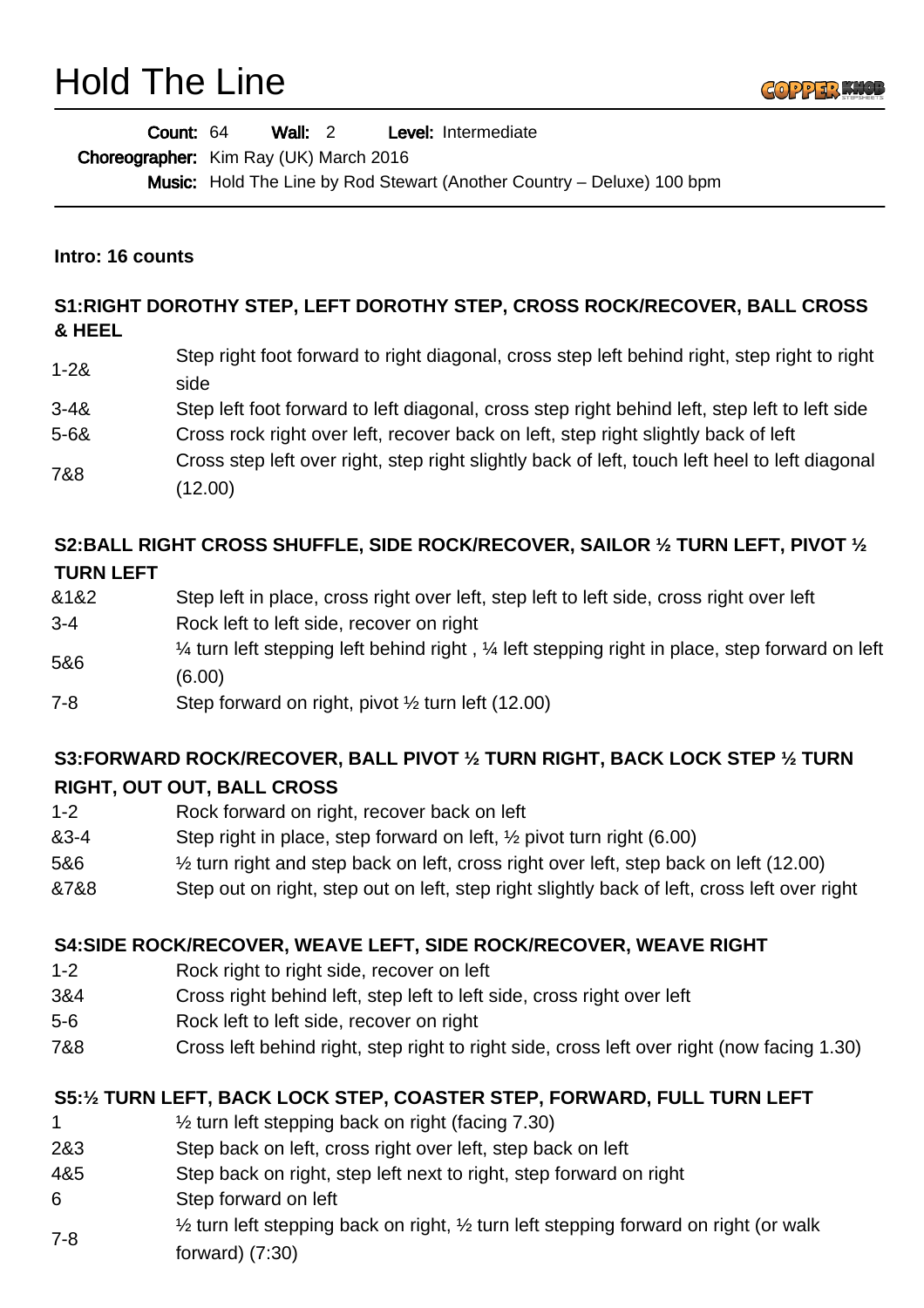# Hold The Line



| Count: 64                              | <b>Wall:</b> 2 |  | <b>Level:</b> Intermediate                                                    |
|----------------------------------------|----------------|--|-------------------------------------------------------------------------------|
| Choreographer: Kim Ray (UK) March 2016 |                |  |                                                                               |
|                                        |                |  | <b>Music:</b> Hold The Line by Rod Stewart (Another Country – Deluxe) 100 bpm |

#### **Intro: 16 counts**

#### **S1:RIGHT DOROTHY STEP, LEFT DOROTHY STEP, CROSS ROCK/RECOVER, BALL CROSS & HEEL**

- 1-2& Step right foot forward to right diagonal, cross step left behind right, step right to right side
- 3-4& Step left foot forward to left diagonal, cross step right behind left, step left to left side
- 5-6& Cross rock right over left, recover back on left, step right slightly back of left
- 7&8 Cross step left over right, step right slightly back of left, touch left heel to left diagonal (12.00)

## **S2:BALL RIGHT CROSS SHUFFLE, SIDE ROCK/RECOVER, SAILOR ½ TURN LEFT, PIVOT ½ TURN LEFT**

- &1&2 Step left in place, cross right over left, step left to left side, cross right over left 3-4 Rock left to left side, recover on right
- 5&6 ¼ turn left stepping left behind right , ¼ left stepping right in place, step forward on left (6.00)
- 7-8 Step forward on right, pivot ½ turn left (12.00)

# **S3:FORWARD ROCK/RECOVER, BALL PIVOT ½ TURN RIGHT, BACK LOCK STEP ½ TURN RIGHT, OUT OUT, BALL CROSS**

- 1-2 Rock forward on right, recover back on left
- &3-4 Step right in place, step forward on left, ½ pivot turn right (6.00)
- 5&6 ½ turn right and step back on left, cross right over left, step back on left (12.00)
- &7&8 Step out on right, step out on left, step right slightly back of left, cross left over right

#### **S4:SIDE ROCK/RECOVER, WEAVE LEFT, SIDE ROCK/RECOVER, WEAVE RIGHT**

- 1-2 Rock right to right side, recover on left
- 3&4 Cross right behind left, step left to left side, cross right over left
- 5-6 Rock left to left side, recover on right
- 7&8 Cross left behind right, step right to right side, cross left over right (now facing 1.30)

#### **S5:½ TURN LEFT, BACK LOCK STEP, COASTER STEP, FORWARD, FULL TURN LEFT**

- 1 ½ turn left stepping back on right (facing 7.30)
- 2&3 Step back on left, cross right over left, step back on left
- 4&5 Step back on right, step left next to right, step forward on right
- 6 Step forward on left
- 7-8  $\frac{1}{2}$  turn left stepping back on right,  $\frac{1}{2}$  turn left stepping forward on right (or walk forward) (7:30)